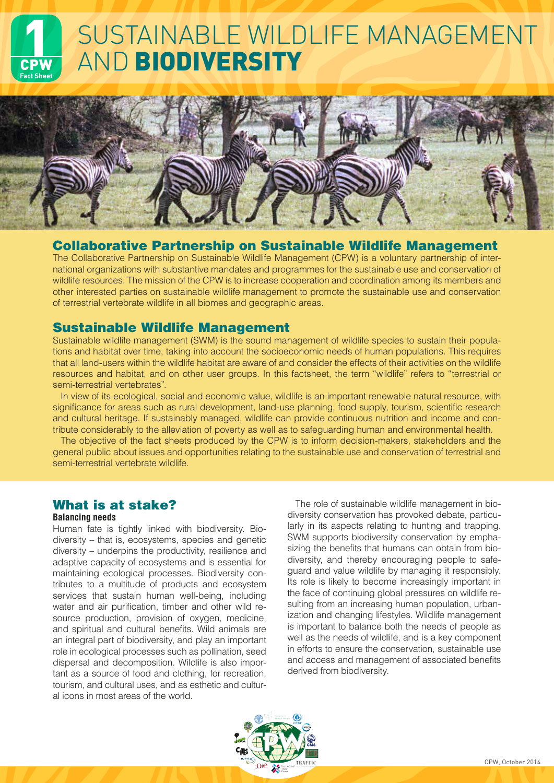# SUSTAINABLE WILDLIFE MANAGEMENT **Fact Sheet** AND BIODIVERSITY



# Collaborative Partnership on Sustainable Wildlife Management

The Collaborative Partnership on Sustainable Wildlife Management (CPW) is a voluntary partnership of international organizations with substantive mandates and programmes for the sustainable use and conservation of wildlife resources. The mission of the CPW is to increase cooperation and coordination among its members and other interested parties on sustainable wildlife management to promote the sustainable use and conservation of terrestrial vertebrate wildlife in all biomes and geographic areas.

# Sustainable Wildlife Management

Sustainable wildlife management (SWM) is the sound management of wildlife species to sustain their populations and habitat over time, taking into account the socioeconomic needs of human populations. This requires that all land-users within the wildlife habitat are aware of and consider the effects of their activities on the wildlife resources and habitat, and on other user groups. In this factsheet, the term "wildlife" refers to "terrestrial or semi-terrestrial vertebrates".

In view of its ecological, social and economic value, wildlife is an important renewable natural resource, with significance for areas such as rural development, land-use planning, food supply, tourism, scientific research and cultural heritage. If sustainably managed, wildlife can provide continuous nutrition and income and contribute considerably to the alleviation of poverty as well as to safeguarding human and environmental health.

The objective of the fact sheets produced by the CPW is to inform decision-makers, stakeholders and the general public about issues and opportunities relating to the sustainable use and conservation of terrestrial and semi-terrestrial vertebrate wildlife.

# What is at stake?

### **Balancing needs**

Human fate is tightly linked with biodiversity. Biodiversity – that is, ecosystems, species and genetic diversity – underpins the productivity, resilience and adaptive capacity of ecosystems and is essential for maintaining ecological processes. Biodiversity contributes to a multitude of products and ecosystem services that sustain human well-being, including water and air purification, timber and other wild resource production, provision of oxygen, medicine, and spiritual and cultural benefits. Wild animals are an integral part of biodiversity, and play an important role in ecological processes such as pollination, seed dispersal and decomposition. Wildlife is also important as a source of food and clothing, for recreation, tourism, and cultural uses, and as esthetic and cultural icons in most areas of the world.

The role of sustainable wildlife management in biodiversity conservation has provoked debate, particularly in its aspects relating to hunting and trapping. SWM supports biodiversity conservation by emphasizing the benefits that humans can obtain from biodiversity, and thereby encouraging people to safeguard and value wildlife by managing it responsibly. Its role is likely to become increasingly important in the face of continuing global pressures on wildlife resulting from an increasing human population, urbanization and changing lifestyles. Wildlife management is important to balance both the needs of people as well as the needs of wildlife, and is a key component in efforts to ensure the conservation, sustainable use and access and management of associated benefits derived from biodiversity.

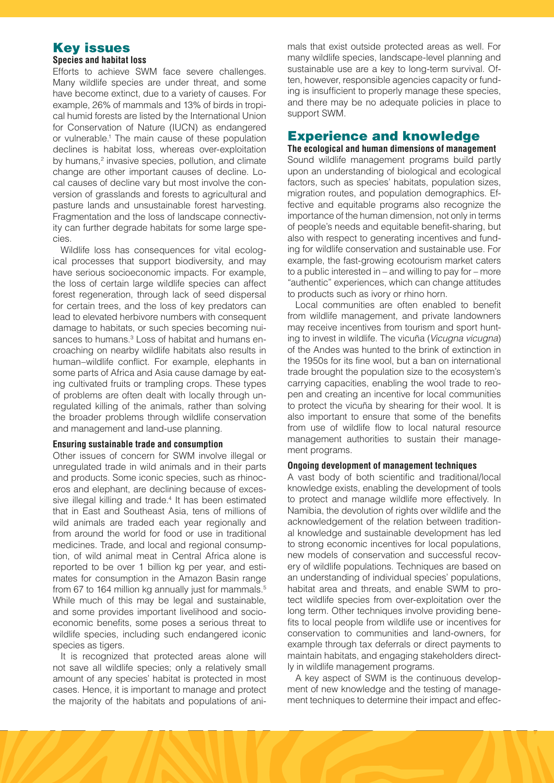# Key issues

#### **Species and habitat loss**

Efforts to achieve SWM face severe challenges. Many wildlife species are under threat, and some have become extinct, due to a variety of causes. For example, 26% of mammals and 13% of birds in tropical humid forests are listed by the International Union for Conservation of Nature (IUCN) as endangered or vulnerable.1 The main cause of these population declines is habitat loss, whereas over-exploitation by humans,<sup>2</sup> invasive species, pollution, and climate change are other important causes of decline. Local causes of decline vary but most involve the conversion of grasslands and forests to agricultural and pasture lands and unsustainable forest harvesting. Fragmentation and the loss of landscape connectivity can further degrade habitats for some large species.

Wildlife loss has consequences for vital ecological processes that support biodiversity, and may have serious socioeconomic impacts. For example, the loss of certain large wildlife species can affect forest regeneration, through lack of seed dispersal for certain trees, and the loss of key predators can lead to elevated herbivore numbers with consequent damage to habitats, or such species becoming nuisances to humans.<sup>3</sup> Loss of habitat and humans encroaching on nearby wildlife habitats also results in human–wildlife conflict. For example, elephants in some parts of Africa and Asia cause damage by eating cultivated fruits or trampling crops. These types of problems are often dealt with locally through unregulated killing of the animals, rather than solving the broader problems through wildlife conservation and management and land-use planning.

#### **Ensuring sustainable trade and consumption**

Other issues of concern for SWM involve illegal or unregulated trade in wild animals and in their parts and products. Some iconic species, such as rhinoceros and elephant, are declining because of excessive illegal killing and trade.<sup>4</sup> It has been estimated that in East and Southeast Asia, tens of millions of wild animals are traded each year regionally and from around the world for food or use in traditional medicines. Trade, and local and regional consumption, of wild animal meat in Central Africa alone is reported to be over 1 billion kg per year, and estimates for consumption in the Amazon Basin range from 67 to 164 million kg annually just for mammals.<sup>5</sup> While much of this may be legal and sustainable, and some provides important livelihood and socioeconomic benefits, some poses a serious threat to wildlife species, including such endangered iconic species as tigers.

It is recognized that protected areas alone will not save all wildlife species; only a relatively small amount of any species' habitat is protected in most cases. Hence, it is important to manage and protect the majority of the habitats and populations of animals that exist outside protected areas as well. For many wildlife species, landscape-level planning and sustainable use are a key to long-term survival. Often, however, responsible agencies capacity or funding is insufficient to properly manage these species, and there may be no adequate policies in place to support SWM.

# Experience and knowledge

**The ecological and human dimensions of management** Sound wildlife management programs build partly upon an understanding of biological and ecological factors, such as species' habitats, population sizes, migration routes, and population demographics. Effective and equitable programs also recognize the importance of the human dimension, not only in terms of people's needs and equitable benefit-sharing, but also with respect to generating incentives and funding for wildlife conservation and sustainable use. For example, the fast-growing ecotourism market caters to a public interested in – and willing to pay for – more "authentic" experiences, which can change attitudes to products such as ivory or rhino horn.

Local communities are often enabled to benefit from wildlife management, and private landowners may receive incentives from tourism and sport hunting to invest in wildlife. The vicuña (*Vicugna vicugna*) of the Andes was hunted to the brink of extinction in the 1950s for its fine wool, but a ban on international trade brought the population size to the ecosystem's carrying capacities, enabling the wool trade to reopen and creating an incentive for local communities to protect the vicuña by shearing for their wool. It is also important to ensure that some of the benefits from use of wildlife flow to local natural resource management authorities to sustain their management programs.

#### **Ongoing development of management techniques**

A vast body of both scientific and traditional/local knowledge exists, enabling the development of tools to protect and manage wildlife more effectively. In Namibia, the devolution of rights over wildlife and the acknowledgement of the relation between traditional knowledge and sustainable development has led to strong economic incentives for local populations, new models of conservation and successful recovery of wildlife populations. Techniques are based on an understanding of individual species' populations, habitat area and threats, and enable SWM to protect wildlife species from over-exploitation over the long term. Other techniques involve providing benefits to local people from wildlife use or incentives for conservation to communities and land-owners, for example through tax deferrals or direct payments to maintain habitats, and engaging stakeholders directly in wildlife management programs.

A key aspect of SWM is the continuous development of new knowledge and the testing of management techniques to determine their impact and effec-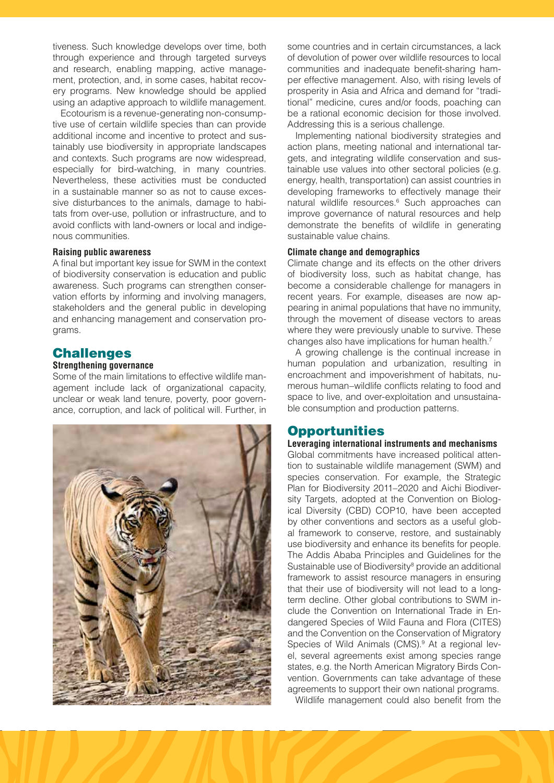tiveness. Such knowledge develops over time, both through experience and through targeted surveys and research, enabling mapping, active management, protection, and, in some cases, habitat recovery programs. New knowledge should be applied using an adaptive approach to wildlife management.

Ecotourism is a revenue-generating non-consumptive use of certain wildlife species than can provide additional income and incentive to protect and sustainably use biodiversity in appropriate landscapes and contexts. Such programs are now widespread, especially for bird-watching, in many countries. Nevertheless, these activities must be conducted in a sustainable manner so as not to cause excessive disturbances to the animals, damage to habitats from over-use, pollution or infrastructure, and to avoid conflicts with land-owners or local and indigenous communities.

#### **Raising public awareness**

A final but important key issue for SWM in the context of biodiversity conservation is education and public awareness. Such programs can strengthen conservation efforts by informing and involving managers, stakeholders and the general public in developing and enhancing management and conservation programs.

### **Challenges**

#### **Strengthening governance**

Some of the main limitations to effective wildlife management include lack of organizational capacity, unclear or weak land tenure, poverty, poor governance, corruption, and lack of political will. Further, in



some countries and in certain circumstances, a lack of devolution of power over wildlife resources to local communities and inadequate benefit-sharing hamper effective management. Also, with rising levels of prosperity in Asia and Africa and demand for "traditional" medicine, cures and/or foods, poaching can be a rational economic decision for those involved. Addressing this is a serious challenge.

Implementing national biodiversity strategies and action plans, meeting national and international targets, and integrating wildlife conservation and sustainable use values into other sectoral policies (e.g. energy, health, transportation) can assist countries in developing frameworks to effectively manage their natural wildlife resources.<sup>6</sup> Such approaches can improve governance of natural resources and help demonstrate the benefits of wildlife in generating sustainable value chains.

#### **Climate change and demographics**

Climate change and its effects on the other drivers of biodiversity loss, such as habitat change, has become a considerable challenge for managers in recent years. For example, diseases are now appearing in animal populations that have no immunity, through the movement of disease vectors to areas where they were previously unable to survive. These changes also have implications for human health.7

A growing challenge is the continual increase in human population and urbanization, resulting in encroachment and impoverishment of habitats, numerous human–wildlife conflicts relating to food and space to live, and over-exploitation and unsustainable consumption and production patterns.

#### **Opportunities**

#### **Leveraging international instruments and mechanisms**

Global commitments have increased political attention to sustainable wildlife management (SWM) and species conservation. For example, the Strategic Plan for Biodiversity 2011–2020 and Aichi Biodiversity Targets, adopted at the Convention on Biological Diversity (CBD) COP10, have been accepted by other conventions and sectors as a useful global framework to conserve, restore, and sustainably use biodiversity and enhance its benefits for people. The Addis Ababa Principles and Guidelines for the Sustainable use of Biodiversity<sup>8</sup> provide an additional framework to assist resource managers in ensuring that their use of biodiversity will not lead to a longterm decline. Other global contributions to SWM include the Convention on International Trade in Endangered Species of Wild Fauna and Flora (CITES) and the Convention on the Conservation of Migratory Species of Wild Animals (CMS).<sup>9</sup> At a regional level, several agreements exist among species range states, e.g. the North American Migratory Birds Convention. Governments can take advantage of these agreements to support their own national programs.

Wildlife management could also benefit from the